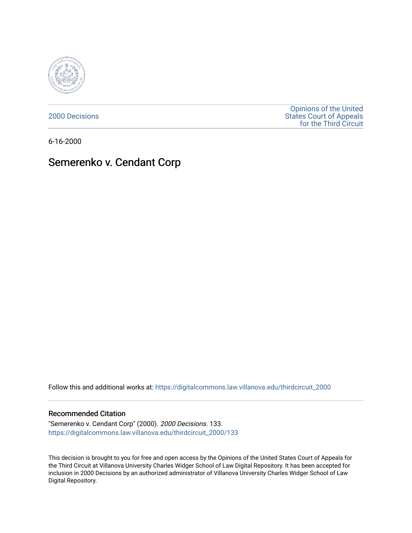

[2000 Decisions](https://digitalcommons.law.villanova.edu/thirdcircuit_2000)

[Opinions of the United](https://digitalcommons.law.villanova.edu/thirdcircuit)  [States Court of Appeals](https://digitalcommons.law.villanova.edu/thirdcircuit)  [for the Third Circuit](https://digitalcommons.law.villanova.edu/thirdcircuit) 

6-16-2000

# Semerenko v. Cendant Corp

Follow this and additional works at: [https://digitalcommons.law.villanova.edu/thirdcircuit\\_2000](https://digitalcommons.law.villanova.edu/thirdcircuit_2000?utm_source=digitalcommons.law.villanova.edu%2Fthirdcircuit_2000%2F133&utm_medium=PDF&utm_campaign=PDFCoverPages) 

## Recommended Citation

"Semerenko v. Cendant Corp" (2000). 2000 Decisions. 133. [https://digitalcommons.law.villanova.edu/thirdcircuit\\_2000/133](https://digitalcommons.law.villanova.edu/thirdcircuit_2000/133?utm_source=digitalcommons.law.villanova.edu%2Fthirdcircuit_2000%2F133&utm_medium=PDF&utm_campaign=PDFCoverPages)

This decision is brought to you for free and open access by the Opinions of the United States Court of Appeals for the Third Circuit at Villanova University Charles Widger School of Law Digital Repository. It has been accepted for inclusion in 2000 Decisions by an authorized administrator of Villanova University Charles Widger School of Law Digital Repository.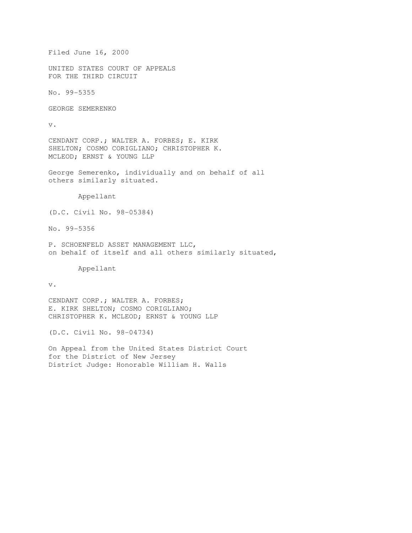```
Filed June 16, 2000
```
UNITED STATES COURT OF APPEALS FOR THE THIRD CIRCUIT

No. 99-5355

GEORGE SEMERENKO

v.

CENDANT CORP.; WALTER A. FORBES; E. KIRK SHELTON; COSMO CORIGLIANO; CHRISTOPHER K. MCLEOD; ERNST & YOUNG LLP

George Semerenko, individually and on behalf of all others similarly situated.

Appellant

(D.C. Civil No. 98-05384)

No. 99-5356

P. SCHOENFELD ASSET MANAGEMENT LLC, on behalf of itself and all others similarly situated,

Appellant

v.

CENDANT CORP.; WALTER A. FORBES; E. KIRK SHELTON; COSMO CORIGLIANO; CHRISTOPHER K. MCLEOD; ERNST & YOUNG LLP

(D.C. Civil No. 98-04734)

On Appeal from the United States District Court for the District of New Jersey District Judge: Honorable William H. Walls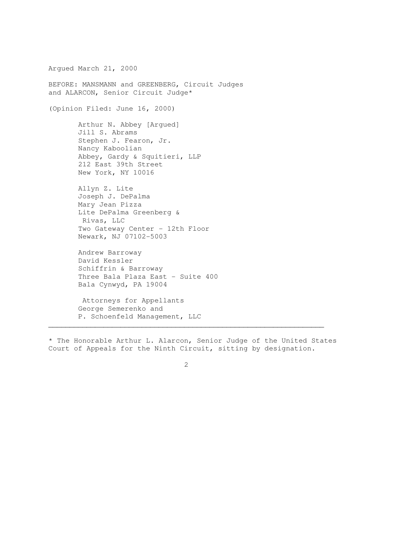Argued March 21, 2000 BEFORE: MANSMANN and GREENBERG, Circuit Judges and ALARCON, Senior Circuit Judge\* (Opinion Filed: June 16, 2000) Arthur N. Abbey [Argued] Jill S. Abrams Stephen J. Fearon, Jr. Nancy Kaboolian Abbey, Gardy & Squitieri, LLP 212 East 39th Street New York, NY 10016 Allyn Z. Lite Joseph J. DePalma Mary Jean Pizza Lite DePalma Greenberg & Rivas, LLC Two Gateway Center - 12th Floor Newark, NJ 07102-5003 Andrew Barroway David Kessler Schiffrin & Barroway Three Bala Plaza East - Suite 400 Bala Cynwyd, PA 19004 Attorneys for Appellants George Semerenko and

P. Schoenfeld Management, LLC

\* The Honorable Arthur L. Alarcon, Senior Judge of the United States Court of Appeals for the Ninth Circuit, sitting by designation.

 $\mathcal{L}_\mathcal{L}$  , and the contribution of the contribution of the contribution of the contribution of the contribution of the contribution of the contribution of the contribution of the contribution of the contribution of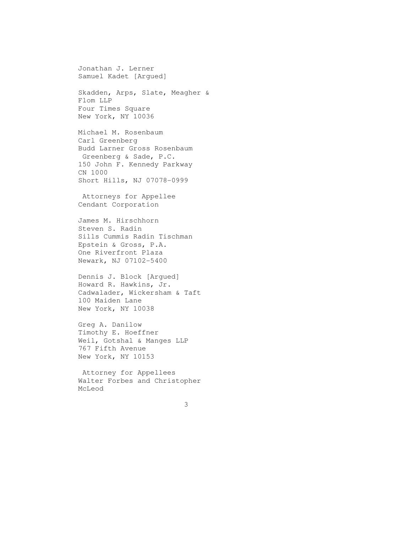Jonathan J. Lerner Samuel Kadet [Argued] Skadden, Arps, Slate, Meagher & Flom LLP Four Times Square New York, NY 10036 Michael M. Rosenbaum Carl Greenberg Budd Larner Gross Rosenbaum Greenberg & Sade, P.C. 150 John F. Kennedy Parkway CN 1000 Short Hills, NJ 07078-0999 Attorneys for Appellee Cendant Corporation James M. Hirschhorn Steven S. Radin Sills Cummis Radin Tischman Epstein & Gross, P.A. One Riverfront Plaza Newark, NJ 07102-5400 Dennis J. Block [Argued] Howard R. Hawkins, Jr. Cadwalader, Wickersham & Taft 100 Maiden Lane New York, NY 10038 Greg A. Danilow Timothy E. Hoeffner Weil, Gotshal & Manges LLP 767 Fifth Avenue New York, NY 10153 Attorney for Appellees Walter Forbes and Christopher McLeod 3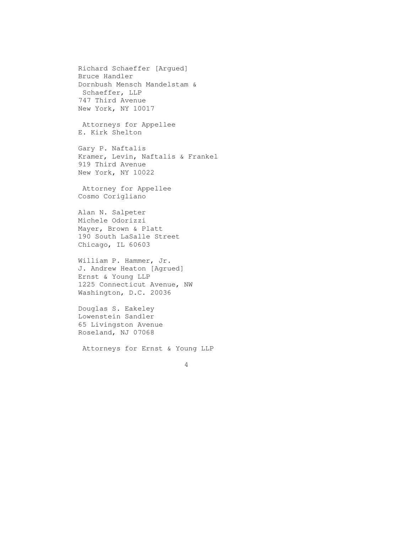Richard Schaeffer [Argued] Bruce Handler Dornbush Mensch Mandelstam & Schaeffer, LLP 747 Third Avenue New York, NY 10017 Attorneys for Appellee E. Kirk Shelton Gary P. Naftalis Kramer, Levin, Naftalis & Frankel 919 Third Avenue New York, NY 10022 Attorney for Appellee Cosmo Corigliano Alan N. Salpeter Michele Odorizzi Mayer, Brown & Platt 190 South LaSalle Street Chicago, IL 60603 William P. Hammer, Jr. J. Andrew Heaton [Agrued] Ernst & Young LLP 1225 Connecticut Avenue, NW Washington, D.C. 20036

 Douglas S. Eakeley Lowenstein Sandler 65 Livingston Avenue Roseland, NJ 07068

Attorneys for Ernst & Young LLP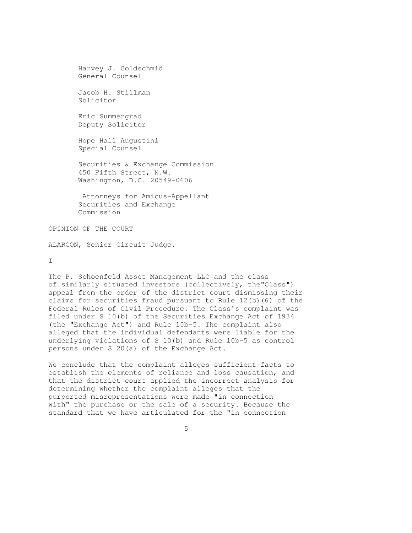```
 Harvey J. Goldschmid 
General Counsel 
Jacob H. Stillman 
Solicitor 
Eric Summergrad 
Deputy Solicitor 
Hope Hall Augustini 
Special Counsel 
Securities & Exchange Commission 
450 Fifth Street, N.W. 
Washington, D.C. 20549-0606 
Attorneys for Amicus-Appellant 
Securities and Exchange 
Commission
```
OPINION OF THE COURT

ALARCON, Senior Circuit Judge.

 $\top$ 

The P. Schoenfeld Asset Management LLC and the class of similarly situated investors (collectively, the"Class") appeal from the order of the district court dismissing their claims for securities fraud pursuant to Rule 12(b)(6) of the Federal Rules of Civil Procedure. The Class's complaint was filed under S 10(b) of the Securities Exchange Act of 1934 (the "Exchange Act") and Rule 10b-5. The complaint also alleged that the individual defendants were liable for the underlying violations of S 10(b) and Rule 10b-5 as control persons under S 20(a) of the Exchange Act.

We conclude that the complaint alleges sufficient facts to establish the elements of reliance and loss causation, and that the district court applied the incorrect analysis for determining whether the complaint alleges that the purported misrepresentations were made "in connection with" the purchase or the sale of a security. Because the standard that we have articulated for the "in connection

 $\sim$  5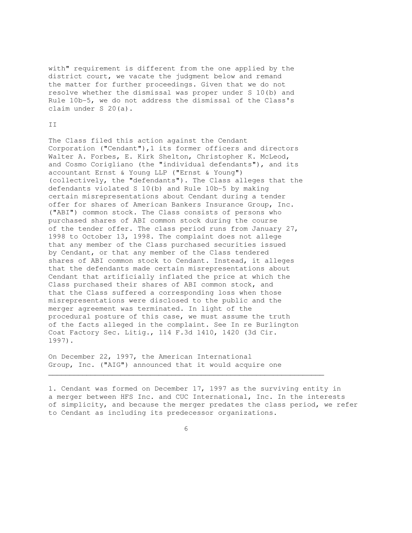with" requirement is different from the one applied by the district court, we vacate the judgment below and remand the matter for further proceedings. Given that we do not resolve whether the dismissal was proper under S 10(b) and Rule 10b-5, we do not address the dismissal of the Class's claim under S 20(a).

### II

The Class filed this action against the Cendant Corporation ("Cendant"),1 its former officers and directors Walter A. Forbes, E. Kirk Shelton, Christopher K. McLeod, and Cosmo Corigliano (the "individual defendants"), and its accountant Ernst & Young LLP ("Ernst & Young") (collectively, the "defendants"). The Class alleges that the defendants violated S 10(b) and Rule 10b-5 by making certain misrepresentations about Cendant during a tender offer for shares of American Bankers Insurance Group, Inc. ("ABI") common stock. The Class consists of persons who purchased shares of ABI common stock during the course of the tender offer. The class period runs from January 27, 1998 to October 13, 1998. The complaint does not allege that any member of the Class purchased securities issued by Cendant, or that any member of the Class tendered shares of ABI common stock to Cendant. Instead, it alleges that the defendants made certain misrepresentations about Cendant that artificially inflated the price at which the Class purchased their shares of ABI common stock, and that the Class suffered a corresponding loss when those misrepresentations were disclosed to the public and the merger agreement was terminated. In light of the procedural posture of this case, we must assume the truth of the facts alleged in the complaint. See In re Burlington Coat Factory Sec. Litig., 114 F.3d 1410, 1420 (3d Cir. 1997).

On December 22, 1997, the American International Group, Inc. ("AIG") announced that it would acquire one

1. Cendant was formed on December 17, 1997 as the surviving entity in a merger between HFS Inc. and CUC International, Inc. In the interests of simplicity, and because the merger predates the class period, we refer to Cendant as including its predecessor organizations.

 $\overline{6}$ 

 $\mathcal{L}_\mathcal{L} = \{ \mathcal{L}_\mathcal{L} = \{ \mathcal{L}_\mathcal{L} = \{ \mathcal{L}_\mathcal{L} = \{ \mathcal{L}_\mathcal{L} = \{ \mathcal{L}_\mathcal{L} = \{ \mathcal{L}_\mathcal{L} = \{ \mathcal{L}_\mathcal{L} = \{ \mathcal{L}_\mathcal{L} = \{ \mathcal{L}_\mathcal{L} = \{ \mathcal{L}_\mathcal{L} = \{ \mathcal{L}_\mathcal{L} = \{ \mathcal{L}_\mathcal{L} = \{ \mathcal{L}_\mathcal{L} = \{ \mathcal{L}_\mathcal{$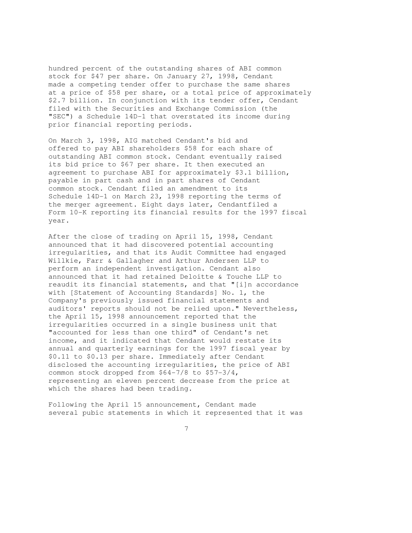hundred percent of the outstanding shares of ABI common stock for \$47 per share. On January 27, 1998, Cendant made a competing tender offer to purchase the same shares at a price of \$58 per share, or a total price of approximately \$2.7 billion. In conjunction with its tender offer, Cendant filed with the Securities and Exchange Commission (the "SEC") a Schedule 14D-1 that overstated its income during prior financial reporting periods.

On March 3, 1998, AIG matched Cendant's bid and offered to pay ABI shareholders \$58 for each share of outstanding ABI common stock. Cendant eventually raised its bid price to \$67 per share. It then executed an agreement to purchase ABI for approximately \$3.1 billion, payable in part cash and in part shares of Cendant common stock. Cendant filed an amendment to its Schedule 14D-1 on March 23, 1998 reporting the terms of the merger agreement. Eight days later, Cendantfiled a Form 10-K reporting its financial results for the 1997 fiscal year.

After the close of trading on April 15, 1998, Cendant announced that it had discovered potential accounting irregularities, and that its Audit Committee had engaged Willkie, Farr & Gallagher and Arthur Andersen LLP to perform an independent investigation. Cendant also announced that it had retained Deloitte & Touche LLP to reaudit its financial statements, and that "[i]n accordance with [Statement of Accounting Standards] No. 1, the Company's previously issued financial statements and auditors' reports should not be relied upon." Nevertheless, the April 15, 1998 announcement reported that the irregularities occurred in a single business unit that "accounted for less than one third" of Cendant's net income, and it indicated that Cendant would restate its annual and quarterly earnings for the 1997 fiscal year by \$0.11 to \$0.13 per share. Immediately after Cendant disclosed the accounting irregularities, the price of ABI common stock dropped from \$64-7/8 to \$57-3/4, representing an eleven percent decrease from the price at which the shares had been trading.

Following the April 15 announcement, Cendant made several pubic statements in which it represented that it was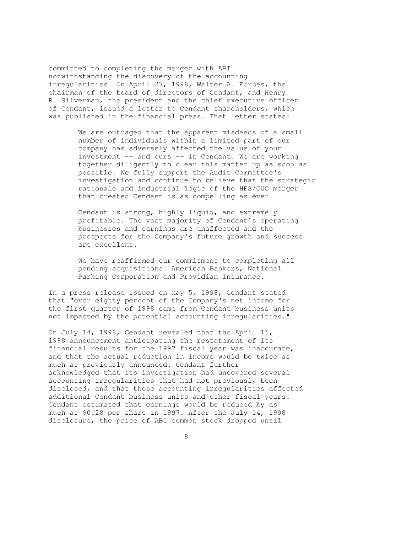committed to completing the merger with ABI notwithstanding the discovery of the accounting irregularities. On April 27, 1998, Walter A. Forbes, the chairman of the board of directors of Cendant, and Henry R. Silverman, the president and the chief executive officer of Cendant, issued a letter to Cendant shareholders, which was published in the financial press. That letter states:

> We are outraged that the apparent misdeeds of a small number of individuals within a limited part of our company has adversely affected the value of your investment -- and ours -- in Cendant. We are working together diligently to clear this matter up as soon as possible. We fully support the Audit Committee's investigation and continue to believe that the strategic rationale and industrial logic of the HFS/CUC merger that created Cendant is as compelling as ever.

 Cendant is strong, highly liquid, and extremely profitable. The vast majority of Cendant's operating businesses and earnings are unaffected and the prospects for the Company's future growth and success are excellent.

We have reaffirmed our commitment to completing all pending acquisitions: American Bankers, National Parking Corporation and Providian Insurance.

In a press release issued on May 5, 1998, Cendant stated that "over eighty percent of the Company's net income for the first quarter of 1998 came from Cendant business units not impacted by the potential accounting irregularities."

On July 14, 1998, Cendant revealed that the April 15, 1998 announcement anticipating the restatement of its financial results for the 1997 fiscal year was inaccurate, and that the actual reduction in income would be twice as much as previously announced. Cendant further acknowledged that its investigation had uncovered several accounting irregularities that had not previously been disclosed, and that those accounting irregularities affected additional Cendant business units and other fiscal years. Cendant estimated that earnings would be reduced by as much as \$0.28 per share in 1997. After the July 14, 1998 disclosure, the price of ABI common stock dropped until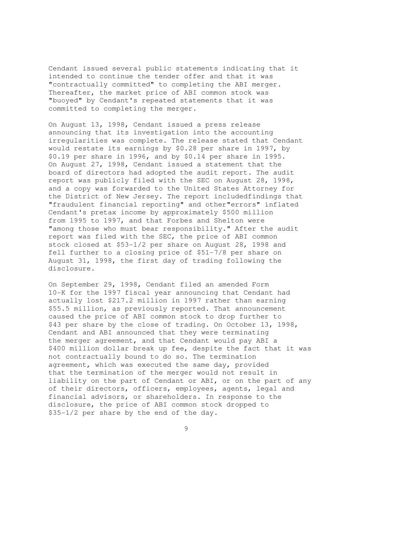Cendant issued several public statements indicating that it intended to continue the tender offer and that it was "contractually committed" to completing the ABI merger. Thereafter, the market price of ABI common stock was "buoyed" by Cendant's repeated statements that it was committed to completing the merger.

On August 13, 1998, Cendant issued a press release announcing that its investigation into the accounting irregularities was complete. The release stated that Cendant would restate its earnings by \$0.28 per share in 1997, by \$0.19 per share in 1996, and by \$0.14 per share in 1995. On August 27, 1998, Cendant issued a statement that the board of directors had adopted the audit report. The audit report was publicly filed with the SEC on August 28, 1998, and a copy was forwarded to the United States Attorney for the District of New Jersey. The report includedfindings that "fraudulent financial reporting" and other"errors" inflated Cendant's pretax income by approximately \$500 million from 1995 to 1997, and that Forbes and Shelton were "among those who must bear responsibility." After the audit report was filed with the SEC, the price of ABI common stock closed at \$53-1/2 per share on August 28, 1998 and fell further to a closing price of \$51-7/8 per share on August 31, 1998, the first day of trading following the disclosure.

On September 29, 1998, Cendant filed an amended Form 10-K for the 1997 fiscal year announcing that Cendant had actually lost \$217.2 million in 1997 rather than earning \$55.5 million, as previously reported. That announcement caused the price of ABI common stock to drop further to \$43 per share by the close of trading. On October 13, 1998, Cendant and ABI announced that they were terminating the merger agreement, and that Cendant would pay ABI a \$400 million dollar break up fee, despite the fact that it was not contractually bound to do so. The termination agreement, which was executed the same day, provided that the termination of the merger would not result in liability on the part of Cendant or ABI, or on the part of any of their directors, officers, employees, agents, legal and financial advisors, or shareholders. In response to the disclosure, the price of ABI common stock dropped to \$35-1/2 per share by the end of the day.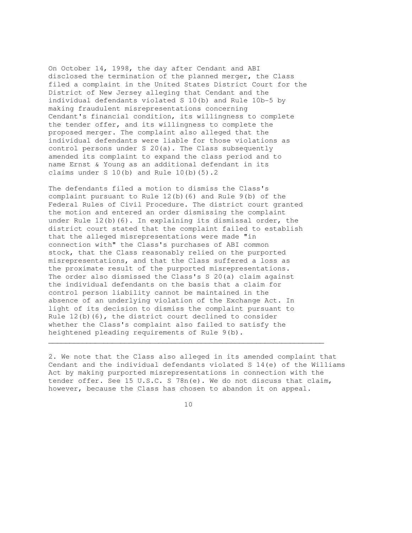On October 14, 1998, the day after Cendant and ABI disclosed the termination of the planned merger, the Class filed a complaint in the United States District Court for the District of New Jersey alleging that Cendant and the individual defendants violated S 10(b) and Rule 10b-5 by making fraudulent misrepresentations concerning Cendant's financial condition, its willingness to complete the tender offer, and its willingness to complete the proposed merger. The complaint also alleged that the individual defendants were liable for those violations as control persons under S 20(a). The Class subsequently amended its complaint to expand the class period and to name Ernst & Young as an additional defendant in its claims under S  $10(b)$  and Rule  $10(b)(5)$ .2

The defendants filed a motion to dismiss the Class's complaint pursuant to Rule 12(b)(6) and Rule 9(b) of the Federal Rules of Civil Procedure. The district court granted the motion and entered an order dismissing the complaint under Rule 12(b)(6). In explaining its dismissal order, the district court stated that the complaint failed to establish that the alleged misrepresentations were made "in connection with" the Class's purchases of ABI common stock, that the Class reasonably relied on the purported misrepresentations, and that the Class suffered a loss as the proximate result of the purported misrepresentations. The order also dismissed the Class's S 20(a) claim against the individual defendants on the basis that a claim for control person liability cannot be maintained in the absence of an underlying violation of the Exchange Act. In light of its decision to dismiss the complaint pursuant to Rule 12(b)(6), the district court declined to consider whether the Class's complaint also failed to satisfy the heightened pleading requirements of Rule 9(b).

2. We note that the Class also alleged in its amended complaint that Cendant and the individual defendants violated S 14(e) of the Williams Act by making purported misrepresentations in connection with the tender offer. See 15 U.S.C. S 78n(e). We do not discuss that claim, however, because the Class has chosen to abandon it on appeal.

10

 $\mathcal{L}_\mathcal{L} = \{ \mathcal{L}_\mathcal{L} = \{ \mathcal{L}_\mathcal{L} = \{ \mathcal{L}_\mathcal{L} = \{ \mathcal{L}_\mathcal{L} = \{ \mathcal{L}_\mathcal{L} = \{ \mathcal{L}_\mathcal{L} = \{ \mathcal{L}_\mathcal{L} = \{ \mathcal{L}_\mathcal{L} = \{ \mathcal{L}_\mathcal{L} = \{ \mathcal{L}_\mathcal{L} = \{ \mathcal{L}_\mathcal{L} = \{ \mathcal{L}_\mathcal{L} = \{ \mathcal{L}_\mathcal{L} = \{ \mathcal{L}_\mathcal{$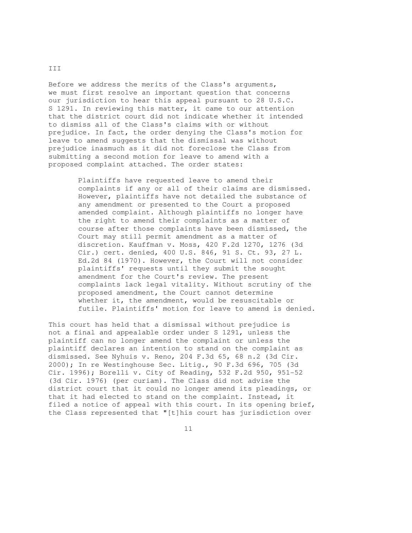Before we address the merits of the Class's arguments, we must first resolve an important question that concerns our jurisdiction to hear this appeal pursuant to 28 U.S.C. S 1291. In reviewing this matter, it came to our attention that the district court did not indicate whether it intended to dismiss all of the Class's claims with or without prejudice. In fact, the order denying the Class's motion for leave to amend suggests that the dismissal was without prejudice inasmuch as it did not foreclose the Class from submitting a second motion for leave to amend with a proposed complaint attached. The order states:

> Plaintiffs have requested leave to amend their complaints if any or all of their claims are dismissed. However, plaintiffs have not detailed the substance of any amendment or presented to the Court a proposed amended complaint. Although plaintiffs no longer have the right to amend their complaints as a matter of course after those complaints have been dismissed, the Court may still permit amendment as a matter of discretion. Kauffman v. Moss, 420 F.2d 1270, 1276 (3d Cir.) cert. denied, 400 U.S. 846, 91 S. Ct. 93, 27 L. Ed.2d 84 (1970). However, the Court will not consider plaintiffs' requests until they submit the sought amendment for the Court's review. The present complaints lack legal vitality. Without scrutiny of the proposed amendment, the Court cannot determine whether it, the amendment, would be resuscitable or futile. Plaintiffs' motion for leave to amend is denied.

This court has held that a dismissal without prejudice is not a final and appealable order under S 1291, unless the plaintiff can no longer amend the complaint or unless the plaintiff declares an intention to stand on the complaint as dismissed. See Nyhuis v. Reno, 204 F.3d 65, 68 n.2 (3d Cir. 2000); In re Westinghouse Sec. Litig., 90 F.3d 696, 705 (3d Cir. 1996); Borelli v. City of Reading, 532 F.2d 950, 951-52 (3d Cir. 1976) (per curiam). The Class did not advise the district court that it could no longer amend its pleadings, or that it had elected to stand on the complaint. Instead, it filed a notice of appeal with this court. In its opening brief, the Class represented that "[t]his court has jurisdiction over

11

III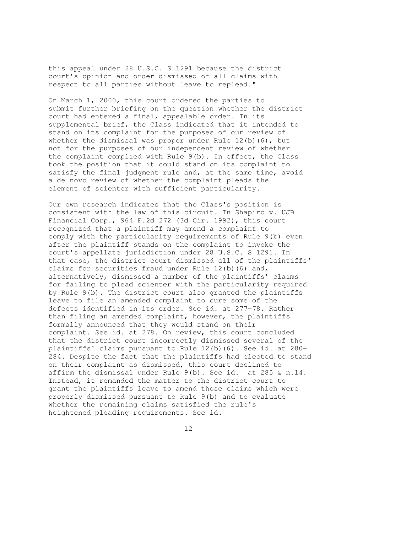this appeal under 28 U.S.C. S 1291 because the district court's opinion and order dismissed of all claims with respect to all parties without leave to replead."

On March 1, 2000, this court ordered the parties to submit further briefing on the question whether the district court had entered a final, appealable order. In its supplemental brief, the Class indicated that it intended to stand on its complaint for the purposes of our review of whether the dismissal was proper under Rule  $12(b)(6)$ , but not for the purposes of our independent review of whether the complaint complied with Rule 9(b). In effect, the Class took the position that it could stand on its complaint to satisfy the final judgment rule and, at the same time, avoid a de novo review of whether the complaint pleads the element of scienter with sufficient particularity.

Our own research indicates that the Class's position is consistent with the law of this circuit. In Shapiro v. UJB Financial Corp., 964 F.2d 272 (3d Cir. 1992), this court recognized that a plaintiff may amend a complaint to comply with the particularity requirements of Rule 9(b) even after the plaintiff stands on the complaint to invoke the court's appellate jurisdiction under 28 U.S.C. S 1291. In that case, the district court dismissed all of the plaintiffs' claims for securities fraud under Rule 12(b)(6) and, alternatively, dismissed a number of the plaintiffs' claims for failing to plead scienter with the particularity required by Rule 9(b). The district court also granted the plaintiffs leave to file an amended complaint to cure some of the defects identified in its order. See id. at 277-78. Rather than filing an amended complaint, however, the plaintiffs formally announced that they would stand on their complaint. See id. at 278. On review, this court concluded that the district court incorrectly dismissed several of the plaintiffs' claims pursuant to Rule 12(b)(6). See id. at 280- 284. Despite the fact that the plaintiffs had elected to stand on their complaint as dismissed, this court declined to affirm the dismissal under Rule 9(b). See id. at 285 & n.14. Instead, it remanded the matter to the district court to grant the plaintiffs leave to amend those claims which were properly dismissed pursuant to Rule 9(b) and to evaluate whether the remaining claims satisfied the rule's heightened pleading requirements. See id.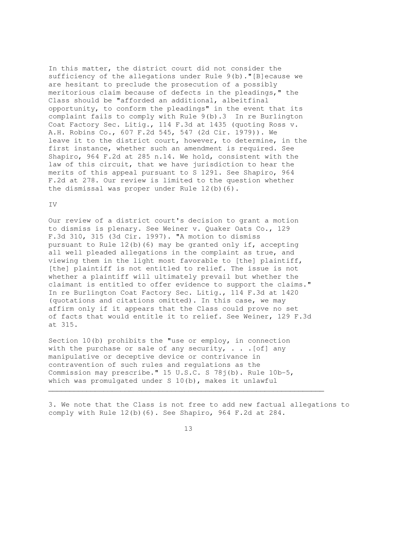In this matter, the district court did not consider the sufficiency of the allegations under Rule 9(b)."[B]ecause we are hesitant to preclude the prosecution of a possibly meritorious claim because of defects in the pleadings," the Class should be "afforded an additional, albeitfinal opportunity, to conform the pleadings" in the event that its complaint fails to comply with Rule 9(b).3 In re Burlington Coat Factory Sec. Litig., 114 F.3d at 1435 (quoting Ross v. A.H. Robins Co., 607 F.2d 545, 547 (2d Cir. 1979)). We leave it to the district court, however, to determine, in the first instance, whether such an amendment is required. See Shapiro, 964 F.2d at 285 n.14. We hold, consistent with the law of this circuit, that we have jurisdiction to hear the merits of this appeal pursuant to S 1291. See Shapiro, 964 F.2d at 278. Our review is limited to the question whether the dismissal was proper under Rule 12(b)(6).

#### IV

Our review of a district court's decision to grant a motion to dismiss is plenary. See Weiner v. Quaker Oats Co., 129 F.3d 310, 315 (3d Cir. 1997). "A motion to dismiss pursuant to Rule 12(b)(6) may be granted only if, accepting all well pleaded allegations in the complaint as true, and viewing them in the light most favorable to [the] plaintiff, [the] plaintiff is not entitled to relief. The issue is not whether a plaintiff will ultimately prevail but whether the claimant is entitled to offer evidence to support the claims." In re Burlington Coat Factory Sec. Litig., 114 F.3d at 1420 (quotations and citations omitted). In this case, we may affirm only if it appears that the Class could prove no set of facts that would entitle it to relief. See Weiner, 129 F.3d at 315.

Section 10(b) prohibits the "use or employ, in connection with the purchase or sale of any security,  $\ldots$  . [of] any manipulative or deceptive device or contrivance in contravention of such rules and regulations as the Commission may prescribe." 15 U.S.C. S 78j(b). Rule 10b-5, which was promulgated under S 10(b), makes it unlawful

3. We note that the Class is not free to add new factual allegations to comply with Rule 12(b)(6). See Shapiro, 964 F.2d at 284.

13

 $\mathcal{L}_\mathcal{L} = \{ \mathcal{L}_\mathcal{L} = \{ \mathcal{L}_\mathcal{L} = \{ \mathcal{L}_\mathcal{L} = \{ \mathcal{L}_\mathcal{L} = \{ \mathcal{L}_\mathcal{L} = \{ \mathcal{L}_\mathcal{L} = \{ \mathcal{L}_\mathcal{L} = \{ \mathcal{L}_\mathcal{L} = \{ \mathcal{L}_\mathcal{L} = \{ \mathcal{L}_\mathcal{L} = \{ \mathcal{L}_\mathcal{L} = \{ \mathcal{L}_\mathcal{L} = \{ \mathcal{L}_\mathcal{L} = \{ \mathcal{L}_\mathcal{$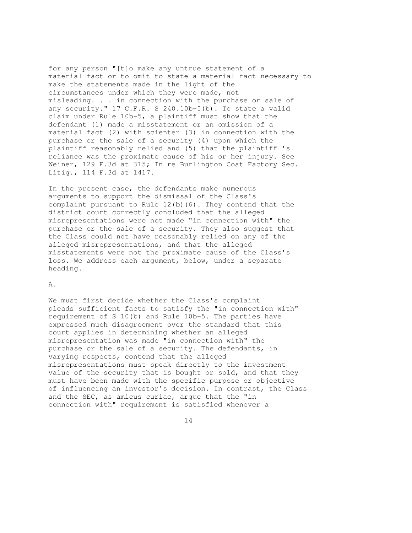for any person "[t]o make any untrue statement of a material fact or to omit to state a material fact necessary to make the statements made in the light of the circumstances under which they were made, not misleading. . . in connection with the purchase or sale of any security." 17 C.F.R. S 240.10b-5(b). To state a valid claim under Rule 10b-5, a plaintiff must show that the defendant (1) made a misstatement or an omission of a material fact (2) with scienter (3) in connection with the purchase or the sale of a security (4) upon which the plaintiff reasonably relied and (5) that the plaintiff 's reliance was the proximate cause of his or her injury. See Weiner, 129 F.3d at 315; In re Burlington Coat Factory Sec. Litig., 114 F.3d at 1417.

In the present case, the defendants make numerous arguments to support the dismissal of the Class's complaint pursuant to Rule  $12(b)(6)$ . They contend that the district court correctly concluded that the alleged misrepresentations were not made "in connection with" the purchase or the sale of a security. They also suggest that the Class could not have reasonably relied on any of the alleged misrepresentations, and that the alleged misstatements were not the proximate cause of the Class's loss. We address each argument, below, under a separate heading.

## A.

We must first decide whether the Class's complaint pleads sufficient facts to satisfy the "in connection with" requirement of S 10(b) and Rule 10b-5. The parties have expressed much disagreement over the standard that this court applies in determining whether an alleged misrepresentation was made "in connection with" the purchase or the sale of a security. The defendants, in varying respects, contend that the alleged misrepresentations must speak directly to the investment value of the security that is bought or sold, and that they must have been made with the specific purpose or objective of influencing an investor's decision. In contrast, the Class and the SEC, as amicus curiae, argue that the "in connection with" requirement is satisfied whenever a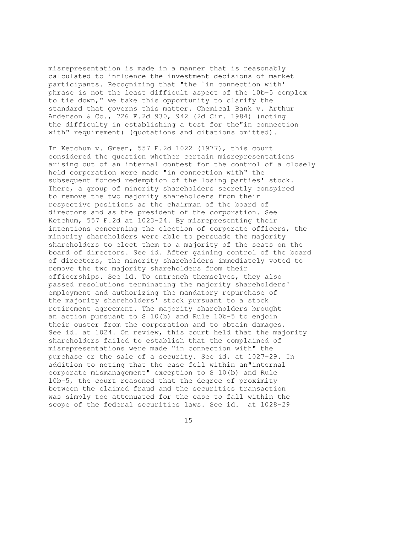misrepresentation is made in a manner that is reasonably calculated to influence the investment decisions of market participants. Recognizing that "the `in connection with' phrase is not the least difficult aspect of the 10b-5 complex to tie down," we take this opportunity to clarify the standard that governs this matter. Chemical Bank v. Arthur Anderson & Co., 726 F.2d 930, 942 (2d Cir. 1984) (noting the difficulty in establishing a test for the"in connection with" requirement) (quotations and citations omitted).

In Ketchum v. Green, 557 F.2d 1022 (1977), this court considered the question whether certain misrepresentations arising out of an internal contest for the control of a closely held corporation were made "in connection with" the subsequent forced redemption of the losing parties' stock. There, a group of minority shareholders secretly conspired to remove the two majority shareholders from their respective positions as the chairman of the board of directors and as the president of the corporation. See Ketchum, 557 F.2d at 1023-24. By misrepresenting their intentions concerning the election of corporate officers, the minority shareholders were able to persuade the majority shareholders to elect them to a majority of the seats on the board of directors. See id. After gaining control of the board of directors, the minority shareholders immediately voted to remove the two majority shareholders from their officerships. See id. To entrench themselves, they also passed resolutions terminating the majority shareholders' employment and authorizing the mandatory repurchase of the majority shareholders' stock pursuant to a stock retirement agreement. The majority shareholders brought an action pursuant to S 10(b) and Rule 10b-5 to enjoin their ouster from the corporation and to obtain damages. See id. at 1024. On review, this court held that the majority shareholders failed to establish that the complained of misrepresentations were made "in connection with" the purchase or the sale of a security. See id. at 1027-29. In addition to noting that the case fell within an"internal corporate mismanagement" exception to S 10(b) and Rule 10b-5, the court reasoned that the degree of proximity between the claimed fraud and the securities transaction was simply too attenuated for the case to fall within the scope of the federal securities laws. See id. at 1028-29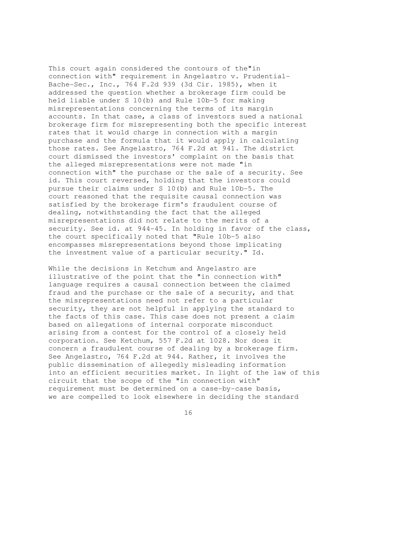This court again considered the contours of the"in connection with" requirement in Angelastro v. Prudential-Bache-Sec., Inc., 764 F.2d 939 (3d Cir. 1985), when it addressed the question whether a brokerage firm could be held liable under S 10(b) and Rule 10b-5 for making misrepresentations concerning the terms of its margin accounts. In that case, a class of investors sued a national brokerage firm for misrepresenting both the specific interest rates that it would charge in connection with a margin purchase and the formula that it would apply in calculating those rates. See Angelastro, 764 F.2d at 941. The district court dismissed the investors' complaint on the basis that the alleged misrepresentations were not made "in connection with" the purchase or the sale of a security. See id. This court reversed, holding that the investors could pursue their claims under S 10(b) and Rule 10b-5. The court reasoned that the requisite causal connection was satisfied by the brokerage firm's fraudulent course of dealing, notwithstanding the fact that the alleged misrepresentations did not relate to the merits of a security. See id. at 944-45. In holding in favor of the class, the court specifically noted that "Rule 10b-5 also encompasses misrepresentations beyond those implicating the investment value of a particular security." Id.

While the decisions in Ketchum and Angelastro are illustrative of the point that the "in connection with" language requires a causal connection between the claimed fraud and the purchase or the sale of a security, and that the misrepresentations need not refer to a particular security, they are not helpful in applying the standard to the facts of this case. This case does not present a claim based on allegations of internal corporate misconduct arising from a contest for the control of a closely held corporation. See Ketchum, 557 F.2d at 1028. Nor does it concern a fraudulent course of dealing by a brokerage firm. See Angelastro, 764 F.2d at 944. Rather, it involves the public dissemination of allegedly misleading information into an efficient securities market. In light of the law of this circuit that the scope of the "in connection with" requirement must be determined on a case-by-case basis, we are compelled to look elsewhere in deciding the standard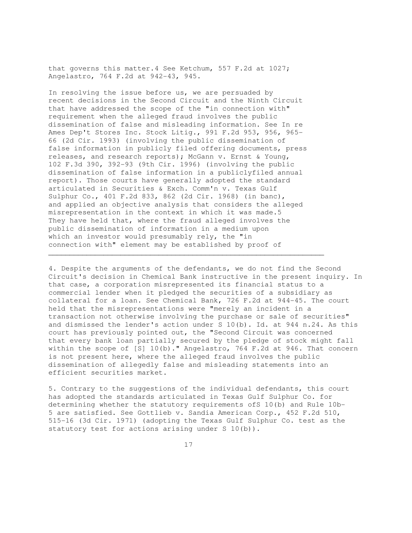that governs this matter.4 See Ketchum, 557 F.2d at 1027; Angelastro, 764 F.2d at 942-43, 945.

In resolving the issue before us, we are persuaded by recent decisions in the Second Circuit and the Ninth Circuit that have addressed the scope of the "in connection with" requirement when the alleged fraud involves the public dissemination of false and misleading information. See In re Ames Dep't Stores Inc. Stock Litig., 991 F.2d 953, 956, 965- 66 (2d Cir. 1993) (involving the public dissemination of false information in publicly filed offering documents, press releases, and research reports); McGann v. Ernst & Young, 102 F.3d 390, 392-93 (9th Cir. 1996) (involving the public dissemination of false information in a publiclyfiled annual report). Those courts have generally adopted the standard articulated in Securities & Exch. Comm'n v. Texas Gulf Sulphur Co., 401 F.2d 833, 862 (2d Cir. 1968) (in banc), and applied an objective analysis that considers the alleged misrepresentation in the context in which it was made.5 They have held that, where the fraud alleged involves the public dissemination of information in a medium upon which an investor would presumably rely, the "in connection with" element may be established by proof of

\_\_\_\_\_\_\_\_\_\_\_\_\_\_\_\_\_\_\_\_\_\_\_\_\_\_\_\_\_\_\_\_\_\_\_\_\_\_\_\_\_\_\_\_\_\_\_\_\_\_\_\_\_\_\_\_\_\_\_\_\_\_\_\_\_

4. Despite the arguments of the defendants, we do not find the Second Circuit's decision in Chemical Bank instructive in the present inquiry. In that case, a corporation misrepresented its financial status to a commercial lender when it pledged the securities of a subsidiary as collateral for a loan. See Chemical Bank, 726 F.2d at 944-45. The court held that the misrepresentations were "merely an incident in a transaction not otherwise involving the purchase or sale of securities" and dismissed the lender's action under S 10(b). Id. at 944 n.24. As this court has previously pointed out, the "Second Circuit was concerned that every bank loan partially secured by the pledge of stock might fall within the scope of [S] 10(b)." Angelastro, 764 F.2d at 946. That concern is not present here, where the alleged fraud involves the public dissemination of allegedly false and misleading statements into an efficient securities market.

5. Contrary to the suggestions of the individual defendants, this court has adopted the standards articulated in Texas Gulf Sulphur Co. for determining whether the statutory requirements ofS 10(b) and Rule 10b-5 are satisfied. See Gottlieb v. Sandia American Corp., 452 F.2d 510, 515-16 (3d Cir. 1971) (adopting the Texas Gulf Sulphur Co. test as the statutory test for actions arising under S 10(b)).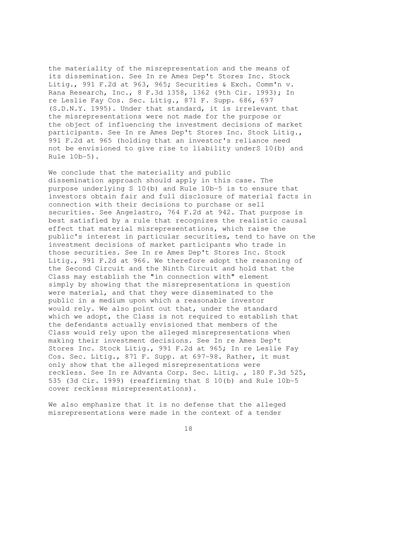the materiality of the misrepresentation and the means of its dissemination. See In re Ames Dep't Stores Inc. Stock Litig., 991 F.2d at 963, 965; Securities & Exch. Comm'n v. Rana Research, Inc., 8 F.3d 1358, 1362 (9th Cir. 1993); In re Leslie Fay Cos. Sec. Litig., 871 F. Supp. 686, 697 (S.D.N.Y. 1995). Under that standard, it is irrelevant that the misrepresentations were not made for the purpose or the object of influencing the investment decisions of market participants. See In re Ames Dep't Stores Inc. Stock Litig., 991 F.2d at 965 (holding that an investor's reliance need not be envisioned to give rise to liability underS 10(b) and Rule 10b-5).

We conclude that the materiality and public dissemination approach should apply in this case. The purpose underlying S 10(b) and Rule 10b-5 is to ensure that investors obtain fair and full disclosure of material facts in connection with their decisions to purchase or sell securities. See Angelastro, 764 F.2d at 942. That purpose is best satisfied by a rule that recognizes the realistic causal effect that material misrepresentations, which raise the public's interest in particular securities, tend to have on the investment decisions of market participants who trade in those securities. See In re Ames Dep't Stores Inc. Stock Litig., 991 F.2d at 966. We therefore adopt the reasoning of the Second Circuit and the Ninth Circuit and hold that the Class may establish the "in connection with" element simply by showing that the misrepresentations in question were material, and that they were disseminated to the public in a medium upon which a reasonable investor would rely. We also point out that, under the standard which we adopt, the Class is not required to establish that the defendants actually envisioned that members of the Class would rely upon the alleged misrepresentations when making their investment decisions. See In re Ames Dep't Stores Inc. Stock Litig., 991 F.2d at 965; In re Leslie Fay Cos. Sec. Litig., 871 F. Supp. at 697-98. Rather, it must only show that the alleged misrepresentations were reckless. See In re Advanta Corp. Sec. Litig. , 180 F.3d 525, 535 (3d Cir. 1999) (reaffirming that S 10(b) and Rule 10b-5 cover reckless misrepresentations).

We also emphasize that it is no defense that the alleged misrepresentations were made in the context of a tender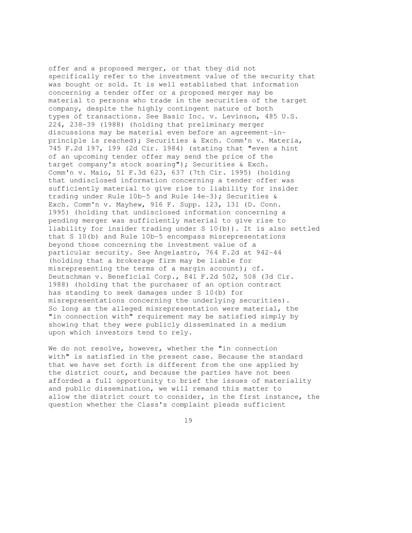offer and a proposed merger, or that they did not specifically refer to the investment value of the security that was bought or sold. It is well established that information concerning a tender offer or a proposed merger may be material to persons who trade in the securities of the target company, despite the highly contingent nature of both types of transactions. See Basic Inc. v. Levinson, 485 U.S. 224, 238-39 (1988) (holding that preliminary merger discussions may be material even before an agreement-inprinciple is reached); Securities & Exch. Comm'n v. Materia, 745 F.2d 197, 199 (2d Cir. 1984) (stating that "even a hint of an upcoming tender offer may send the price of the target company's stock soaring"); Securities & Exch. Comm'n v. Maio, 51 F.3d 623, 637 (7th Cir. 1995) (holding that undisclosed information concerning a tender offer was sufficiently material to give rise to liability for insider trading under Rule 10b-5 and Rule 14e-3); Securities & Exch. Comm'n v. Mayhew, 916 F. Supp. 123, 131 (D. Conn. 1995) (holding that undisclosed information concerning a pending merger was sufficiently material to give rise to liability for insider trading under S 10(b)). It is also settled that S 10(b) and Rule 10b-5 encompass misrepresentations beyond those concerning the investment value of a particular security. See Angelastro, 764 F.2d at 942-44 (holding that a brokerage firm may be liable for misrepresenting the terms of a margin account); cf. Deutschman v. Beneficial Corp., 841 F.2d 502, 508 (3d Cir. 1988) (holding that the purchaser of an option contract has standing to seek damages under S 10(b) for misrepresentations concerning the underlying securities). So long as the alleged misrepresentation were material, the "in connection with" requirement may be satisfied simply by showing that they were publicly disseminated in a medium upon which investors tend to rely.

We do not resolve, however, whether the "in connection with" is satisfied in the present case. Because the standard that we have set forth is different from the one applied by the district court, and because the parties have not been afforded a full opportunity to brief the issues of materiality and public dissemination, we will remand this matter to allow the district court to consider, in the first instance, the question whether the Class's complaint pleads sufficient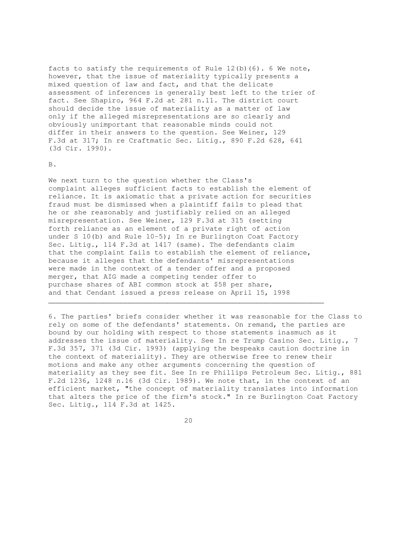facts to satisfy the requirements of Rule  $12(b)(6)$ . 6 We note, however, that the issue of materiality typically presents a mixed question of law and fact, and that the delicate assessment of inferences is generally best left to the trier of fact. See Shapiro, 964 F.2d at 281 n.11. The district court should decide the issue of materiality as a matter of law only if the alleged misrepresentations are so clearly and obviously unimportant that reasonable minds could not differ in their answers to the question. See Weiner, 129 F.3d at 317; In re Craftmatic Sec. Litig., 890 F.2d 628, 641 (3d Cir. 1990).

#### B.

We next turn to the question whether the Class's complaint alleges sufficient facts to establish the element of reliance. It is axiomatic that a private action for securities fraud must be dismissed when a plaintiff fails to plead that he or she reasonably and justifiably relied on an alleged misrepresentation. See Weiner, 129 F.3d at 315 (setting forth reliance as an element of a private right of action under S 10(b) and Rule 10-5); In re Burlington Coat Factory Sec. Litig., 114 F.3d at 1417 (same). The defendants claim that the complaint fails to establish the element of reliance, because it alleges that the defendants' misrepresentations were made in the context of a tender offer and a proposed merger, that AIG made a competing tender offer to purchase shares of ABI common stock at \$58 per share, and that Cendant issued a press release on April 15, 1998  $\mathcal{L}_\mathcal{L} = \{ \mathcal{L}_\mathcal{L} = \{ \mathcal{L}_\mathcal{L} = \{ \mathcal{L}_\mathcal{L} = \{ \mathcal{L}_\mathcal{L} = \{ \mathcal{L}_\mathcal{L} = \{ \mathcal{L}_\mathcal{L} = \{ \mathcal{L}_\mathcal{L} = \{ \mathcal{L}_\mathcal{L} = \{ \mathcal{L}_\mathcal{L} = \{ \mathcal{L}_\mathcal{L} = \{ \mathcal{L}_\mathcal{L} = \{ \mathcal{L}_\mathcal{L} = \{ \mathcal{L}_\mathcal{L} = \{ \mathcal{L}_\mathcal{$ 

6. The parties' briefs consider whether it was reasonable for the Class to rely on some of the defendants' statements. On remand, the parties are bound by our holding with respect to those statements inasmuch as it addresses the issue of materiality. See In re Trump Casino Sec. Litig., 7 F.3d 357, 371 (3d Cir. 1993) (applying the bespeaks caution doctrine in the context of materiality). They are otherwise free to renew their motions and make any other arguments concerning the question of materiality as they see fit. See In re Phillips Petroleum Sec. Litig., 881 F.2d 1236, 1248 n.16 (3d Cir. 1989). We note that, in the context of an efficient market, "the concept of materiality translates into information that alters the price of the firm's stock." In re Burlington Coat Factory Sec. Litig., 114 F.3d at 1425.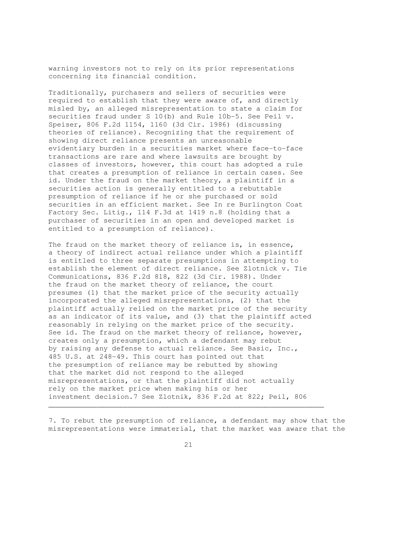warning investors not to rely on its prior representations concerning its financial condition.

Traditionally, purchasers and sellers of securities were required to establish that they were aware of, and directly misled by, an alleged misrepresentation to state a claim for securities fraud under S 10(b) and Rule 10b-5. See Peil v. Speiser, 806 F.2d 1154, 1160 (3d Cir. 1986) (discussing theories of reliance). Recognizing that the requirement of showing direct reliance presents an unreasonable evidentiary burden in a securities market where face-to-face transactions are rare and where lawsuits are brought by classes of investors, however, this court has adopted a rule that creates a presumption of reliance in certain cases. See id. Under the fraud on the market theory, a plaintiff in a securities action is generally entitled to a rebuttable presumption of reliance if he or she purchased or sold securities in an efficient market. See In re Burlington Coat Factory Sec. Litig., 114 F.3d at 1419 n.8 (holding that a purchaser of securities in an open and developed market is entitled to a presumption of reliance).

The fraud on the market theory of reliance is, in essence, a theory of indirect actual reliance under which a plaintiff is entitled to three separate presumptions in attempting to establish the element of direct reliance. See Zlotnick v. Tie Communications, 836 F.2d 818, 822 (3d Cir. 1988). Under the fraud on the market theory of reliance, the court presumes (1) that the market price of the security actually incorporated the alleged misrepresentations, (2) that the plaintiff actually relied on the market price of the security as an indicator of its value, and (3) that the plaintiff acted reasonably in relying on the market price of the security. See id. The fraud on the market theory of reliance, however, creates only a presumption, which a defendant may rebut by raising any defense to actual reliance. See Basic, Inc., 485 U.S. at 248-49. This court has pointed out that the presumption of reliance may be rebutted by showing that the market did not respond to the alleged misrepresentations, or that the plaintiff did not actually rely on the market price when making his or her investment decision.7 See Zlotnik, 836 F.2d at 822; Peil, 806

7. To rebut the presumption of reliance, a defendant may show that the misrepresentations were immaterial, that the market was aware that the

 $\mathcal{L}_\mathcal{L} = \{ \mathcal{L}_\mathcal{L} = \{ \mathcal{L}_\mathcal{L} = \{ \mathcal{L}_\mathcal{L} = \{ \mathcal{L}_\mathcal{L} = \{ \mathcal{L}_\mathcal{L} = \{ \mathcal{L}_\mathcal{L} = \{ \mathcal{L}_\mathcal{L} = \{ \mathcal{L}_\mathcal{L} = \{ \mathcal{L}_\mathcal{L} = \{ \mathcal{L}_\mathcal{L} = \{ \mathcal{L}_\mathcal{L} = \{ \mathcal{L}_\mathcal{L} = \{ \mathcal{L}_\mathcal{L} = \{ \mathcal{L}_\mathcal{$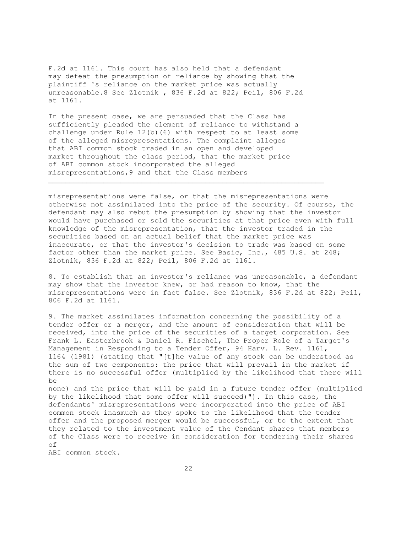F.2d at 1161. This court has also held that a defendant may defeat the presumption of reliance by showing that the plaintiff 's reliance on the market price was actually unreasonable.8 See Zlotnik , 836 F.2d at 822; Peil, 806 F.2d at 1161.

In the present case, we are persuaded that the Class has sufficiently pleaded the element of reliance to withstand a challenge under Rule 12(b)(6) with respect to at least some of the alleged misrepresentations. The complaint alleges that ABI common stock traded in an open and developed market throughout the class period, that the market price of ABI common stock incorporated the alleged misrepresentations,9 and that the Class members

 $\mathcal{L}_\mathcal{L} = \{ \mathcal{L}_\mathcal{L} = \{ \mathcal{L}_\mathcal{L} = \{ \mathcal{L}_\mathcal{L} = \{ \mathcal{L}_\mathcal{L} = \{ \mathcal{L}_\mathcal{L} = \{ \mathcal{L}_\mathcal{L} = \{ \mathcal{L}_\mathcal{L} = \{ \mathcal{L}_\mathcal{L} = \{ \mathcal{L}_\mathcal{L} = \{ \mathcal{L}_\mathcal{L} = \{ \mathcal{L}_\mathcal{L} = \{ \mathcal{L}_\mathcal{L} = \{ \mathcal{L}_\mathcal{L} = \{ \mathcal{L}_\mathcal{$ 

misrepresentations were false, or that the misrepresentations were otherwise not assimilated into the price of the security. Of course, the defendant may also rebut the presumption by showing that the investor would have purchased or sold the securities at that price even with full knowledge of the misrepresentation, that the investor traded in the securities based on an actual belief that the market price was inaccurate, or that the investor's decision to trade was based on some factor other than the market price. See Basic, Inc., 485 U.S. at 248; Zlotnik, 836 F.2d at 822; Peil, 806 F.2d at 1161.

8. To establish that an investor's reliance was unreasonable, a defendant may show that the investor knew, or had reason to know, that the misrepresentations were in fact false. See Zlotnik, 836 F.2d at 822; Peil, 806 F.2d at 1161.

9. The market assimilates information concerning the possibility of a tender offer or a merger, and the amount of consideration that will be received, into the price of the securities of a target corporation. See Frank L. Easterbrook & Daniel R. Fischel, The Proper Role of a Target's Management in Responding to a Tender Offer, 94 Harv. L. Rev. 1161, 1164 (1981) (stating that "[t]he value of any stock can be understood as the sum of two components: the price that will prevail in the market if there is no successful offer (multiplied by the likelihood that there will be

none) and the price that will be paid in a future tender offer (multiplied by the likelihood that some offer will succeed)"). In this case, the defendants' misrepresentations were incorporated into the price of ABI common stock inasmuch as they spoke to the likelihood that the tender offer and the proposed merger would be successful, or to the extent that they related to the investment value of the Cendant shares that members of the Class were to receive in consideration for tendering their shares of

ABI common stock.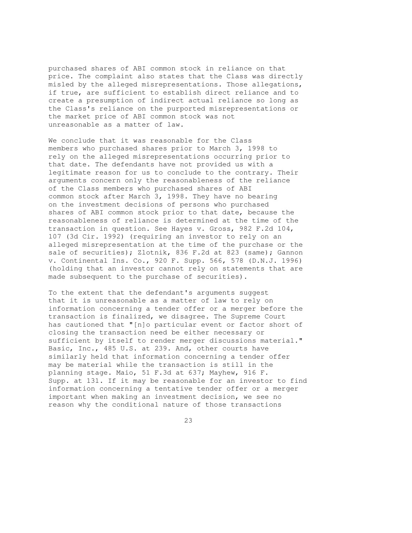purchased shares of ABI common stock in reliance on that price. The complaint also states that the Class was directly misled by the alleged misrepresentations. Those allegations, if true, are sufficient to establish direct reliance and to create a presumption of indirect actual reliance so long as the Class's reliance on the purported misrepresentations or the market price of ABI common stock was not unreasonable as a matter of law.

We conclude that it was reasonable for the Class members who purchased shares prior to March 3, 1998 to rely on the alleged misrepresentations occurring prior to that date. The defendants have not provided us with a legitimate reason for us to conclude to the contrary. Their arguments concern only the reasonableness of the reliance of the Class members who purchased shares of ABI common stock after March 3, 1998. They have no bearing on the investment decisions of persons who purchased shares of ABI common stock prior to that date, because the reasonableness of reliance is determined at the time of the transaction in question. See Hayes v. Gross, 982 F.2d 104, 107 (3d Cir. 1992) (requiring an investor to rely on an alleged misrepresentation at the time of the purchase or the sale of securities); Zlotnik, 836 F.2d at 823 (same); Gannon v. Continental Ins. Co., 920 F. Supp. 566, 578 (D.N.J. 1996) (holding that an investor cannot rely on statements that are made subsequent to the purchase of securities).

To the extent that the defendant's arguments suggest that it is unreasonable as a matter of law to rely on information concerning a tender offer or a merger before the transaction is finalized, we disagree. The Supreme Court has cautioned that "[n]o particular event or factor short of closing the transaction need be either necessary or sufficient by itself to render merger discussions material." Basic, Inc., 485 U.S. at 239. And, other courts have similarly held that information concerning a tender offer may be material while the transaction is still in the planning stage. Maio, 51 F.3d at 637; Mayhew, 916 F. Supp. at 131. If it may be reasonable for an investor to find information concerning a tentative tender offer or a merger important when making an investment decision, we see no reason why the conditional nature of those transactions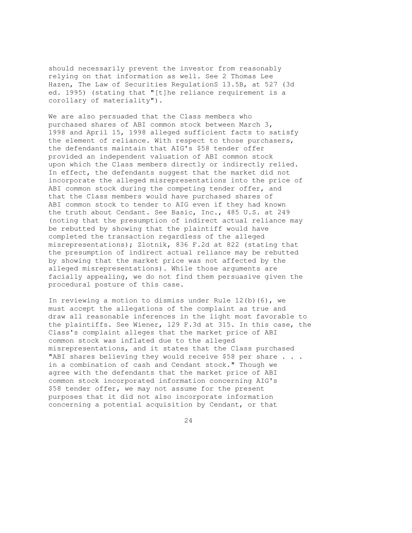should necessarily prevent the investor from reasonably relying on that information as well. See 2 Thomas Lee Hazen, The Law of Securities RegulationS 13.5B, at 527 (3d ed. 1995) (stating that "[t]he reliance requirement is a corollary of materiality").

We are also persuaded that the Class members who purchased shares of ABI common stock between March 3, 1998 and April 15, 1998 alleged sufficient facts to satisfy the element of reliance. With respect to those purchasers, the defendants maintain that AIG's \$58 tender offer provided an independent valuation of ABI common stock upon which the Class members directly or indirectly relied. In effect, the defendants suggest that the market did not incorporate the alleged misrepresentations into the price of ABI common stock during the competing tender offer, and that the Class members would have purchased shares of ABI common stock to tender to AIG even if they had known the truth about Cendant. See Basic, Inc., 485 U.S. at 249 (noting that the presumption of indirect actual reliance may be rebutted by showing that the plaintiff would have completed the transaction regardless of the alleged misrepresentations); Zlotnik, 836 F.2d at 822 (stating that the presumption of indirect actual reliance may be rebutted by showing that the market price was not affected by the alleged misrepresentations). While those arguments are facially appealing, we do not find them persuasive given the procedural posture of this case.

In reviewing a motion to dismiss under Rule  $12(b)(6)$ , we must accept the allegations of the complaint as true and draw all reasonable inferences in the light most favorable to the plaintiffs. See Wiener, 129 F.3d at 315. In this case, the Class's complaint alleges that the market price of ABI common stock was inflated due to the alleged misrepresentations, and it states that the Class purchased "ABI shares believing they would receive \$58 per share . . . in a combination of cash and Cendant stock." Though we agree with the defendants that the market price of ABI common stock incorporated information concerning AIG's \$58 tender offer, we may not assume for the present purposes that it did not also incorporate information concerning a potential acquisition by Cendant, or that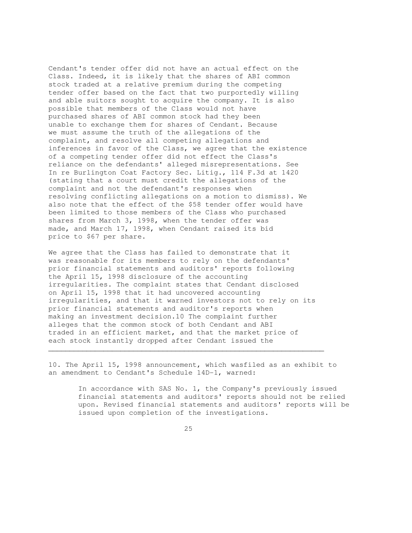Cendant's tender offer did not have an actual effect on the Class. Indeed, it is likely that the shares of ABI common stock traded at a relative premium during the competing tender offer based on the fact that two purportedly willing and able suitors sought to acquire the company. It is also possible that members of the Class would not have purchased shares of ABI common stock had they been unable to exchange them for shares of Cendant. Because we must assume the truth of the allegations of the complaint, and resolve all competing allegations and inferences in favor of the Class, we agree that the existence of a competing tender offer did not effect the Class's reliance on the defendants' alleged misrepresentations. See In re Burlington Coat Factory Sec. Litig., 114 F.3d at 1420 (stating that a court must credit the allegations of the complaint and not the defendant's responses when resolving conflicting allegations on a motion to dismiss). We also note that the effect of the \$58 tender offer would have been limited to those members of the Class who purchased shares from March 3, 1998, when the tender offer was made, and March 17, 1998, when Cendant raised its bid price to \$67 per share.

We agree that the Class has failed to demonstrate that it was reasonable for its members to rely on the defendants' prior financial statements and auditors' reports following the April 15, 1998 disclosure of the accounting irregularities. The complaint states that Cendant disclosed on April 15, 1998 that it had uncovered accounting irregularities, and that it warned investors not to rely on its prior financial statements and auditor's reports when making an investment decision.10 The complaint further alleges that the common stock of both Cendant and ABI traded in an efficient market, and that the market price of each stock instantly dropped after Cendant issued the  $\mathcal{L}_\mathcal{L} = \{ \mathcal{L}_\mathcal{L} = \{ \mathcal{L}_\mathcal{L} = \{ \mathcal{L}_\mathcal{L} = \{ \mathcal{L}_\mathcal{L} = \{ \mathcal{L}_\mathcal{L} = \{ \mathcal{L}_\mathcal{L} = \{ \mathcal{L}_\mathcal{L} = \{ \mathcal{L}_\mathcal{L} = \{ \mathcal{L}_\mathcal{L} = \{ \mathcal{L}_\mathcal{L} = \{ \mathcal{L}_\mathcal{L} = \{ \mathcal{L}_\mathcal{L} = \{ \mathcal{L}_\mathcal{L} = \{ \mathcal{L}_\mathcal{$ 

10. The April 15, 1998 announcement, which wasfiled as an exhibit to an amendment to Cendant's Schedule 14D-1, warned:

> In accordance with SAS No. 1, the Company's previously issued financial statements and auditors' reports should not be relied upon. Revised financial statements and auditors' reports will be issued upon completion of the investigations.

<u>25</u>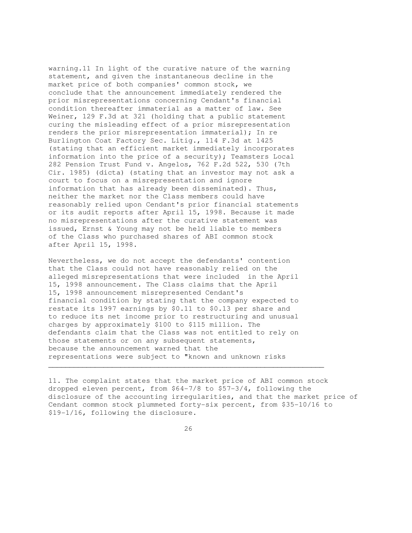warning.11 In light of the curative nature of the warning statement, and given the instantaneous decline in the market price of both companies' common stock, we conclude that the announcement immediately rendered the prior misrepresentations concerning Cendant's financial condition thereafter immaterial as a matter of law. See Weiner, 129 F.3d at 321 (holding that a public statement curing the misleading effect of a prior misrepresentation renders the prior misrepresentation immaterial); In re Burlington Coat Factory Sec. Litig., 114 F.3d at 1425 (stating that an efficient market immediately incorporates information into the price of a security); Teamsters Local 282 Pension Trust Fund v. Angelos, 762 F.2d 522, 530 (7th Cir. 1985) (dicta) (stating that an investor may not ask a court to focus on a misrepresentation and ignore information that has already been disseminated). Thus, neither the market nor the Class members could have reasonably relied upon Cendant's prior financial statements or its audit reports after April 15, 1998. Because it made no misrepresentations after the curative statement was issued, Ernst & Young may not be held liable to members of the Class who purchased shares of ABI common stock after April 15, 1998.

Nevertheless, we do not accept the defendants' contention that the Class could not have reasonably relied on the alleged misrepresentations that were included in the April 15, 1998 announcement. The Class claims that the April 15, 1998 announcement misrepresented Cendant's financial condition by stating that the company expected to restate its 1997 earnings by \$0.11 to \$0.13 per share and to reduce its net income prior to restructuring and unusual charges by approximately \$100 to \$115 million. The defendants claim that the Class was not entitled to rely on those statements or on any subsequent statements, because the announcement warned that the representations were subject to "known and unknown risks

11. The complaint states that the market price of ABI common stock dropped eleven percent, from \$64-7/8 to \$57-3/4, following the disclosure of the accounting irregularities, and that the market price of Cendant common stock plummeted forty-six percent, from \$35-10/16 to \$19-1/16, following the disclosure.

26

 $\mathcal{L}_\mathcal{L} = \{ \mathcal{L}_\mathcal{L} = \{ \mathcal{L}_\mathcal{L} = \{ \mathcal{L}_\mathcal{L} = \{ \mathcal{L}_\mathcal{L} = \{ \mathcal{L}_\mathcal{L} = \{ \mathcal{L}_\mathcal{L} = \{ \mathcal{L}_\mathcal{L} = \{ \mathcal{L}_\mathcal{L} = \{ \mathcal{L}_\mathcal{L} = \{ \mathcal{L}_\mathcal{L} = \{ \mathcal{L}_\mathcal{L} = \{ \mathcal{L}_\mathcal{L} = \{ \mathcal{L}_\mathcal{L} = \{ \mathcal{L}_\mathcal{$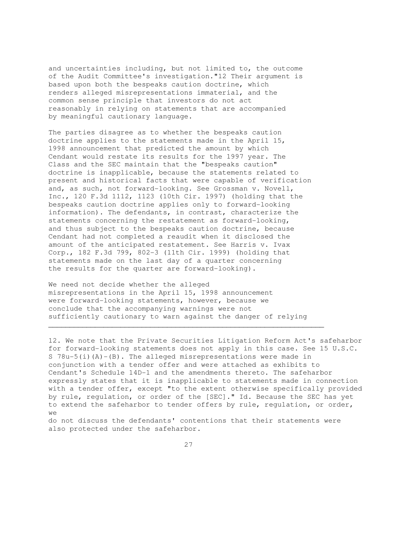and uncertainties including, but not limited to, the outcome of the Audit Committee's investigation."12 Their argument is based upon both the bespeaks caution doctrine, which renders alleged misrepresentations immaterial, and the common sense principle that investors do not act reasonably in relying on statements that are accompanied by meaningful cautionary language.

The parties disagree as to whether the bespeaks caution doctrine applies to the statements made in the April 15, 1998 announcement that predicted the amount by which Cendant would restate its results for the 1997 year. The Class and the SEC maintain that the "bespeaks caution" doctrine is inapplicable, because the statements related to present and historical facts that were capable of verification and, as such, not forward-looking. See Grossman v. Novell, Inc., 120 F.3d 1112, 1123 (10th Cir. 1997) (holding that the bespeaks caution doctrine applies only to forward-looking information). The defendants, in contrast, characterize the statements concerning the restatement as forward-looking, and thus subject to the bespeaks caution doctrine, because Cendant had not completed a reaudit when it disclosed the amount of the anticipated restatement. See Harris v. Ivax Corp., 182 F.3d 799, 802-3 (11th Cir. 1999) (holding that statements made on the last day of a quarter concerning the results for the quarter are forward-looking).

We need not decide whether the alleged misrepresentations in the April 15, 1998 announcement were forward-looking statements, however, because we conclude that the accompanying warnings were not sufficiently cautionary to warn against the danger of relying

 $\mathcal{L}_\mathcal{L} = \{ \mathcal{L}_\mathcal{L} = \{ \mathcal{L}_\mathcal{L} = \{ \mathcal{L}_\mathcal{L} = \{ \mathcal{L}_\mathcal{L} = \{ \mathcal{L}_\mathcal{L} = \{ \mathcal{L}_\mathcal{L} = \{ \mathcal{L}_\mathcal{L} = \{ \mathcal{L}_\mathcal{L} = \{ \mathcal{L}_\mathcal{L} = \{ \mathcal{L}_\mathcal{L} = \{ \mathcal{L}_\mathcal{L} = \{ \mathcal{L}_\mathcal{L} = \{ \mathcal{L}_\mathcal{L} = \{ \mathcal{L}_\mathcal{$ 

12. We note that the Private Securities Litigation Reform Act's safeharbor for forward-looking statements does not apply in this case. See 15 U.S.C. S  $78u-5(i)(A)-(B)$ . The alleged misrepresentations were made in conjunction with a tender offer and were attached as exhibits to Cendant's Schedule 14D-1 and the amendments thereto. The safeharbor expressly states that it is inapplicable to statements made in connection with a tender offer, except "to the extent otherwise specifically provided by rule, regulation, or order of the [SEC]." Id. Because the SEC has yet to extend the safeharbor to tender offers by rule, regulation, or order, we

do not discuss the defendants' contentions that their statements were also protected under the safeharbor.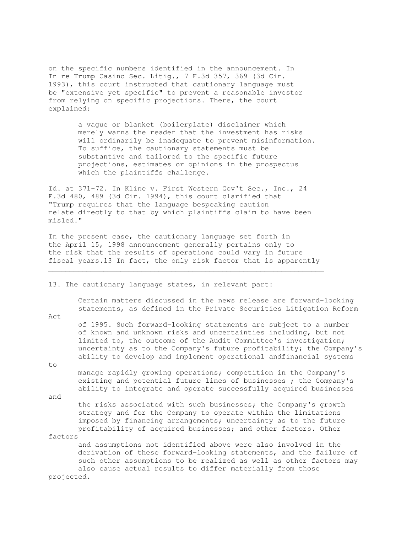on the specific numbers identified in the announcement. In In re Trump Casino Sec. Litig., 7 F.3d 357, 369 (3d Cir. 1993), this court instructed that cautionary language must be "extensive yet specific" to prevent a reasonable investor from relying on specific projections. There, the court explained:

> a vague or blanket (boilerplate) disclaimer which merely warns the reader that the investment has risks will ordinarily be inadequate to prevent misinformation. To suffice, the cautionary statements must be substantive and tailored to the specific future projections, estimates or opinions in the prospectus which the plaintiffs challenge.

Id. at 371-72. In Kline v. First Western Gov't Sec., Inc., 24 F.3d 480, 489 (3d Cir. 1994), this court clarified that "Trump requires that the language bespeaking caution relate directly to that by which plaintiffs claim to have been misled."

In the present case, the cautionary language set forth in the April 15, 1998 announcement generally pertains only to the risk that the results of operations could vary in future fiscal years.13 In fact, the only risk factor that is apparently

 $\mathcal{L}_\mathcal{L} = \{ \mathcal{L}_\mathcal{L} = \{ \mathcal{L}_\mathcal{L} = \{ \mathcal{L}_\mathcal{L} = \{ \mathcal{L}_\mathcal{L} = \{ \mathcal{L}_\mathcal{L} = \{ \mathcal{L}_\mathcal{L} = \{ \mathcal{L}_\mathcal{L} = \{ \mathcal{L}_\mathcal{L} = \{ \mathcal{L}_\mathcal{L} = \{ \mathcal{L}_\mathcal{L} = \{ \mathcal{L}_\mathcal{L} = \{ \mathcal{L}_\mathcal{L} = \{ \mathcal{L}_\mathcal{L} = \{ \mathcal{L}_\mathcal{$ 

13. The cautionary language states, in relevant part:

 Certain matters discussed in the news release are forward-looking statements, as defined in the Private Securities Litigation Reform

Act

 of 1995. Such forward-looking statements are subject to a number of known and unknown risks and uncertainties including, but not limited to, the outcome of the Audit Committee's investigation; uncertainty as to the Company's future profitability; the Company's ability to develop and implement operational andfinancial systems

to

 manage rapidly growing operations; competition in the Company's existing and potential future lines of businesses ; the Company's ability to integrate and operate successfully acquired businesses

and

 the risks associated with such businesses; the Company's growth strategy and for the Company to operate within the limitations imposed by financing arrangements; uncertainty as to the future profitability of acquired businesses; and other factors. Other factors

 and assumptions not identified above were also involved in the derivation of these forward-looking statements, and the failure of such other assumptions to be realized as well as other factors may also cause actual results to differ materially from those projected.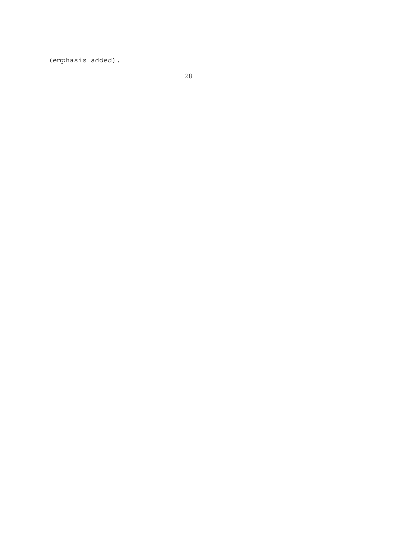(emphasis added).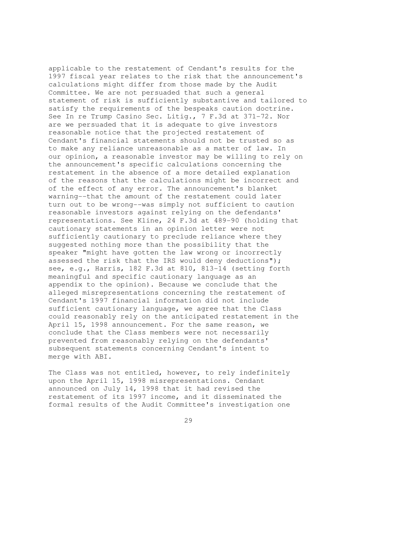applicable to the restatement of Cendant's results for the 1997 fiscal year relates to the risk that the announcement's calculations might differ from those made by the Audit Committee. We are not persuaded that such a general statement of risk is sufficiently substantive and tailored to satisfy the requirements of the bespeaks caution doctrine. See In re Trump Casino Sec. Litig., 7 F.3d at 371-72. Nor are we persuaded that it is adequate to give investors reasonable notice that the projected restatement of Cendant's financial statements should not be trusted so as to make any reliance unreasonable as a matter of law. In our opinion, a reasonable investor may be willing to rely on the announcement's specific calculations concerning the restatement in the absence of a more detailed explanation of the reasons that the calculations might be incorrect and of the effect of any error. The announcement's blanket warning--that the amount of the restatement could later turn out to be wrong--was simply not sufficient to caution reasonable investors against relying on the defendants' representations. See Kline, 24 F.3d at 489-90 (holding that cautionary statements in an opinion letter were not sufficiently cautionary to preclude reliance where they suggested nothing more than the possibility that the speaker "might have gotten the law wrong or incorrectly assessed the risk that the IRS would deny deductions"); see, e.g., Harris, 182 F.3d at 810, 813-14 (setting forth meaningful and specific cautionary language as an appendix to the opinion). Because we conclude that the alleged misrepresentations concerning the restatement of Cendant's 1997 financial information did not include sufficient cautionary language, we agree that the Class could reasonably rely on the anticipated restatement in the April 15, 1998 announcement. For the same reason, we conclude that the Class members were not necessarily prevented from reasonably relying on the defendants' subsequent statements concerning Cendant's intent to merge with ABI.

The Class was not entitled, however, to rely indefinitely upon the April 15, 1998 misrepresentations. Cendant announced on July 14, 1998 that it had revised the restatement of its 1997 income, and it disseminated the formal results of the Audit Committee's investigation one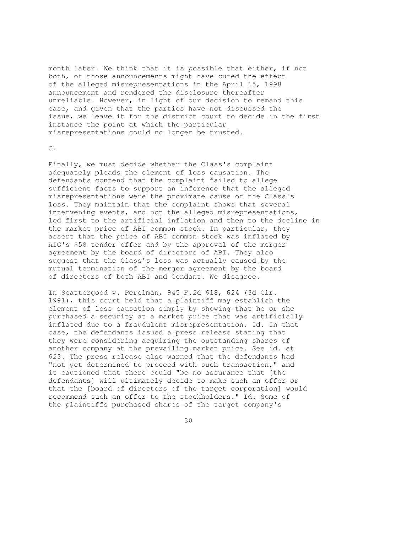month later. We think that it is possible that either, if not both, of those announcements might have cured the effect of the alleged misrepresentations in the April 15, 1998 announcement and rendered the disclosure thereafter unreliable. However, in light of our decision to remand this case, and given that the parties have not discussed the issue, we leave it for the district court to decide in the first instance the point at which the particular misrepresentations could no longer be trusted.

## C.

Finally, we must decide whether the Class's complaint adequately pleads the element of loss causation. The defendants contend that the complaint failed to allege sufficient facts to support an inference that the alleged misrepresentations were the proximate cause of the Class's loss. They maintain that the complaint shows that several intervening events, and not the alleged misrepresentations, led first to the artificial inflation and then to the decline in the market price of ABI common stock. In particular, they assert that the price of ABI common stock was inflated by AIG's \$58 tender offer and by the approval of the merger agreement by the board of directors of ABI. They also suggest that the Class's loss was actually caused by the mutual termination of the merger agreement by the board of directors of both ABI and Cendant. We disagree.

In Scattergood v. Perelman, 945 F.2d 618, 624 (3d Cir. 1991), this court held that a plaintiff may establish the element of loss causation simply by showing that he or she purchased a security at a market price that was artificially inflated due to a fraudulent misrepresentation. Id. In that case, the defendants issued a press release stating that they were considering acquiring the outstanding shares of another company at the prevailing market price. See id. at 623. The press release also warned that the defendants had "not yet determined to proceed with such transaction," and it cautioned that there could "be no assurance that [the defendants] will ultimately decide to make such an offer or that the [board of directors of the target corporation] would recommend such an offer to the stockholders." Id. Some of the plaintiffs purchased shares of the target company's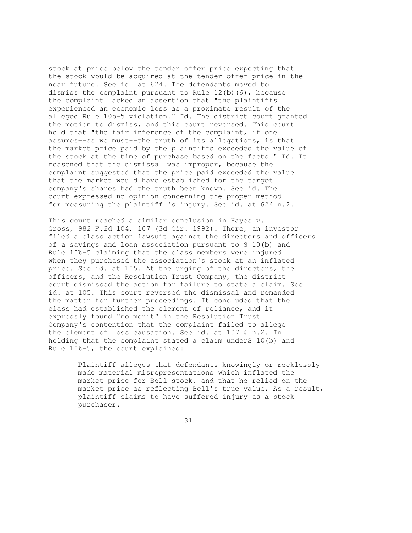stock at price below the tender offer price expecting that the stock would be acquired at the tender offer price in the near future. See id. at 624. The defendants moved to dismiss the complaint pursuant to Rule  $12(b)(6)$ , because the complaint lacked an assertion that "the plaintiffs experienced an economic loss as a proximate result of the alleged Rule 10b-5 violation." Id. The district court granted the motion to dismiss, and this court reversed. This court held that "the fair inference of the complaint, if one assumes--as we must--the truth of its allegations, is that the market price paid by the plaintiffs exceeded the value of the stock at the time of purchase based on the facts." Id. It reasoned that the dismissal was improper, because the complaint suggested that the price paid exceeded the value that the market would have established for the target company's shares had the truth been known. See id. The court expressed no opinion concerning the proper method for measuring the plaintiff 's injury. See id. at 624 n.2.

This court reached a similar conclusion in Hayes v. Gross, 982 F.2d 104, 107 (3d Cir. 1992). There, an investor filed a class action lawsuit against the directors and officers of a savings and loan association pursuant to S 10(b) and Rule 10b-5 claiming that the class members were injured when they purchased the association's stock at an inflated price. See id. at 105. At the urging of the directors, the officers, and the Resolution Trust Company, the district court dismissed the action for failure to state a claim. See id. at 105. This court reversed the dismissal and remanded the matter for further proceedings. It concluded that the class had established the element of reliance, and it expressly found "no merit" in the Resolution Trust Company's contention that the complaint failed to allege the element of loss causation. See id. at 107 & n.2. In holding that the complaint stated a claim underS 10(b) and Rule 10b-5, the court explained:

> Plaintiff alleges that defendants knowingly or recklessly made material misrepresentations which inflated the market price for Bell stock, and that he relied on the market price as reflecting Bell's true value. As a result, plaintiff claims to have suffered injury as a stock purchaser.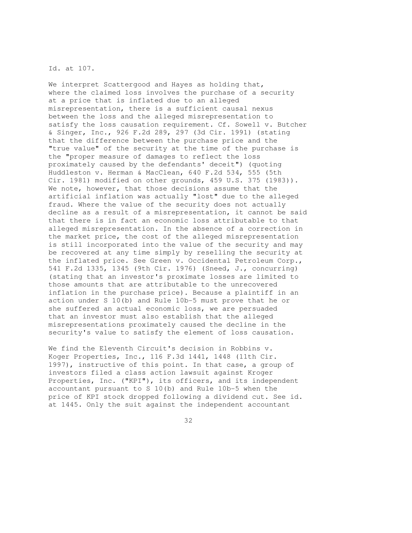## Id. at 107.

We interpret Scattergood and Hayes as holding that, where the claimed loss involves the purchase of a security at a price that is inflated due to an alleged misrepresentation, there is a sufficient causal nexus between the loss and the alleged misrepresentation to satisfy the loss causation requirement. Cf. Sowell v. Butcher & Singer, Inc., 926 F.2d 289, 297 (3d Cir. 1991) (stating that the difference between the purchase price and the "true value" of the security at the time of the purchase is the "proper measure of damages to reflect the loss proximately caused by the defendants' deceit") (quoting Huddleston v. Herman & MacClean, 640 F.2d 534, 555 (5th Cir. 1981) modified on other grounds, 459 U.S. 375 (1983)). We note, however, that those decisions assume that the artificial inflation was actually "lost" due to the alleged fraud. Where the value of the security does not actually decline as a result of a misrepresentation, it cannot be said that there is in fact an economic loss attributable to that alleged misrepresentation. In the absence of a correction in the market price, the cost of the alleged misrepresentation is still incorporated into the value of the security and may be recovered at any time simply by reselling the security at the inflated price. See Green v. Occidental Petroleum Corp., 541 F.2d 1335, 1345 (9th Cir. 1976) (Sneed, J., concurring) (stating that an investor's proximate losses are limited to those amounts that are attributable to the unrecovered inflation in the purchase price). Because a plaintiff in an action under S 10(b) and Rule 10b-5 must prove that he or she suffered an actual economic loss, we are persuaded that an investor must also establish that the alleged misrepresentations proximately caused the decline in the security's value to satisfy the element of loss causation.

We find the Eleventh Circuit's decision in Robbins v. Koger Properties, Inc., 116 F.3d 1441, 1448 (11th Cir. 1997), instructive of this point. In that case, a group of investors filed a class action lawsuit against Kroger Properties, Inc. ("KPI"), its officers, and its independent accountant pursuant to S 10(b) and Rule 10b-5 when the price of KPI stock dropped following a dividend cut. See id. at 1445. Only the suit against the independent accountant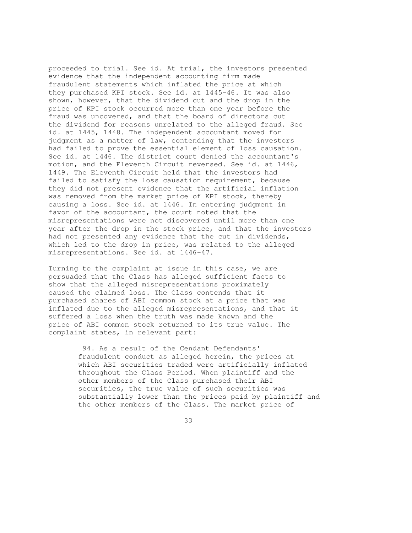proceeded to trial. See id. At trial, the investors presented evidence that the independent accounting firm made fraudulent statements which inflated the price at which they purchased KPI stock. See id. at 1445-46. It was also shown, however, that the dividend cut and the drop in the price of KPI stock occurred more than one year before the fraud was uncovered, and that the board of directors cut the dividend for reasons unrelated to the alleged fraud. See id. at 1445, 1448. The independent accountant moved for judgment as a matter of law, contending that the investors had failed to prove the essential element of loss causation. See id. at 1446. The district court denied the accountant's motion, and the Eleventh Circuit reversed. See id. at 1446, 1449. The Eleventh Circuit held that the investors had failed to satisfy the loss causation requirement, because they did not present evidence that the artificial inflation was removed from the market price of KPI stock, thereby causing a loss. See id. at 1446. In entering judgment in favor of the accountant, the court noted that the misrepresentations were not discovered until more than one year after the drop in the stock price, and that the investors had not presented any evidence that the cut in dividends, which led to the drop in price, was related to the alleged misrepresentations. See id. at 1446-47.

Turning to the complaint at issue in this case, we are persuaded that the Class has alleged sufficient facts to show that the alleged misrepresentations proximately caused the claimed loss. The Class contends that it purchased shares of ABI common stock at a price that was inflated due to the alleged misrepresentations, and that it suffered a loss when the truth was made known and the price of ABI common stock returned to its true value. The complaint states, in relevant part:

> 94. As a result of the Cendant Defendants' fraudulent conduct as alleged herein, the prices at which ABI securities traded were artificially inflated throughout the Class Period. When plaintiff and the other members of the Class purchased their ABI securities, the true value of such securities was substantially lower than the prices paid by plaintiff and the other members of the Class. The market price of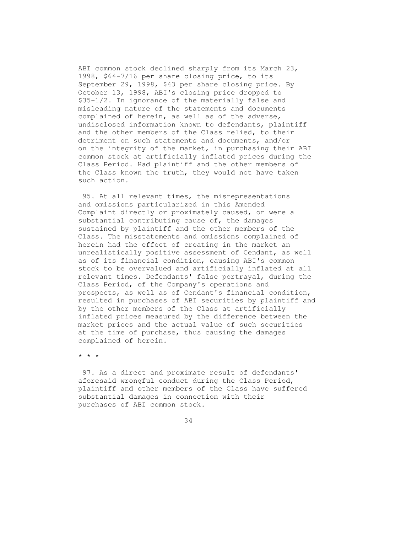ABI common stock declined sharply from its March 23, 1998, \$64-7/16 per share closing price, to its September 29, 1998, \$43 per share closing price. By October 13, 1998, ABI's closing price dropped to \$35-1/2. In ignorance of the materially false and misleading nature of the statements and documents complained of herein, as well as of the adverse, undisclosed information known to defendants, plaintiff and the other members of the Class relied, to their detriment on such statements and documents, and/or on the integrity of the market, in purchasing their ABI common stock at artificially inflated prices during the Class Period. Had plaintiff and the other members of the Class known the truth, they would not have taken such action.

 95. At all relevant times, the misrepresentations and omissions particularized in this Amended Complaint directly or proximately caused, or were a substantial contributing cause of, the damages sustained by plaintiff and the other members of the Class. The misstatements and omissions complained of herein had the effect of creating in the market an unrealistically positive assessment of Cendant, as well as of its financial condition, causing ABI's common stock to be overvalued and artificially inflated at all relevant times. Defendants' false portrayal, during the Class Period, of the Company's operations and prospects, as well as of Cendant's financial condition, resulted in purchases of ABI securities by plaintiff and by the other members of the Class at artificially inflated prices measured by the difference between the market prices and the actual value of such securities at the time of purchase, thus causing the damages complained of herein.

\* \* \*

 97. As a direct and proximate result of defendants' aforesaid wrongful conduct during the Class Period, plaintiff and other members of the Class have suffered substantial damages in connection with their purchases of ABI common stock.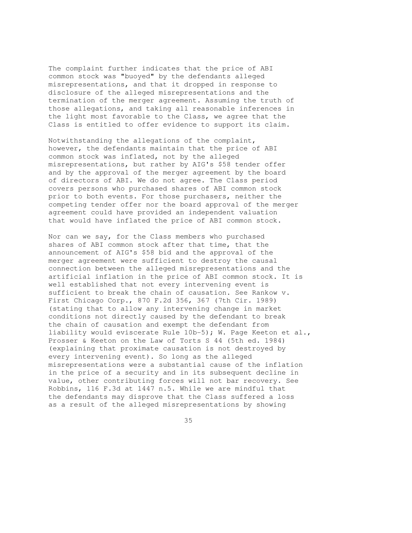The complaint further indicates that the price of ABI common stock was "buoyed" by the defendants alleged misrepresentations, and that it dropped in response to disclosure of the alleged misrepresentations and the termination of the merger agreement. Assuming the truth of those allegations, and taking all reasonable inferences in the light most favorable to the Class, we agree that the Class is entitled to offer evidence to support its claim.

Notwithstanding the allegations of the complaint, however, the defendants maintain that the price of ABI common stock was inflated, not by the alleged misrepresentations, but rather by AIG's \$58 tender offer and by the approval of the merger agreement by the board of directors of ABI. We do not agree. The Class period covers persons who purchased shares of ABI common stock prior to both events. For those purchasers, neither the competing tender offer nor the board approval of the merger agreement could have provided an independent valuation that would have inflated the price of ABI common stock.

Nor can we say, for the Class members who purchased shares of ABI common stock after that time, that the announcement of AIG's \$58 bid and the approval of the merger agreement were sufficient to destroy the causal connection between the alleged misrepresentations and the artificial inflation in the price of ABI common stock. It is well established that not every intervening event is sufficient to break the chain of causation. See Rankow v. First Chicago Corp., 870 F.2d 356, 367 (7th Cir. 1989) (stating that to allow any intervening change in market conditions not directly caused by the defendant to break the chain of causation and exempt the defendant from liability would eviscerate Rule 10b-5); W. Page Keeton et al., Prosser & Keeton on the Law of Torts S 44 (5th ed. 1984) (explaining that proximate causation is not destroyed by every intervening event). So long as the alleged misrepresentations were a substantial cause of the inflation in the price of a security and in its subsequent decline in value, other contributing forces will not bar recovery. See Robbins, 116 F.3d at 1447 n.5. While we are mindful that the defendants may disprove that the Class suffered a loss as a result of the alleged misrepresentations by showing

<u>35</u>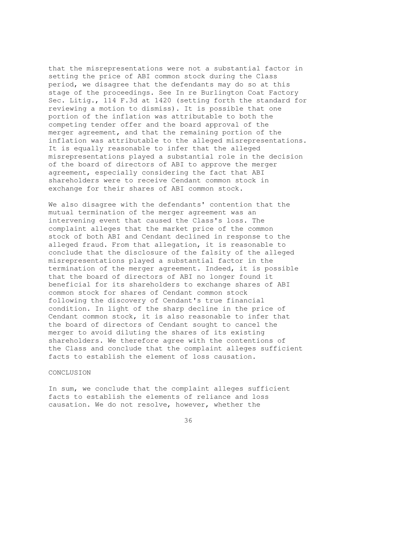that the misrepresentations were not a substantial factor in setting the price of ABI common stock during the Class period, we disagree that the defendants may do so at this stage of the proceedings. See In re Burlington Coat Factory Sec. Litig., 114 F.3d at 1420 (setting forth the standard for reviewing a motion to dismiss). It is possible that one portion of the inflation was attributable to both the competing tender offer and the board approval of the merger agreement, and that the remaining portion of the inflation was attributable to the alleged misrepresentations. It is equally reasonable to infer that the alleged misrepresentations played a substantial role in the decision of the board of directors of ABI to approve the merger agreement, especially considering the fact that ABI shareholders were to receive Cendant common stock in exchange for their shares of ABI common stock.

We also disagree with the defendants' contention that the mutual termination of the merger agreement was an intervening event that caused the Class's loss. The complaint alleges that the market price of the common stock of both ABI and Cendant declined in response to the alleged fraud. From that allegation, it is reasonable to conclude that the disclosure of the falsity of the alleged misrepresentations played a substantial factor in the termination of the merger agreement. Indeed, it is possible that the board of directors of ABI no longer found it beneficial for its shareholders to exchange shares of ABI common stock for shares of Cendant common stock following the discovery of Cendant's true financial condition. In light of the sharp decline in the price of Cendant common stock, it is also reasonable to infer that the board of directors of Cendant sought to cancel the merger to avoid diluting the shares of its existing shareholders. We therefore agree with the contentions of the Class and conclude that the complaint alleges sufficient facts to establish the element of loss causation.

### CONCLUSION

In sum, we conclude that the complaint alleges sufficient facts to establish the elements of reliance and loss causation. We do not resolve, however, whether the

<u>36 and 36</u>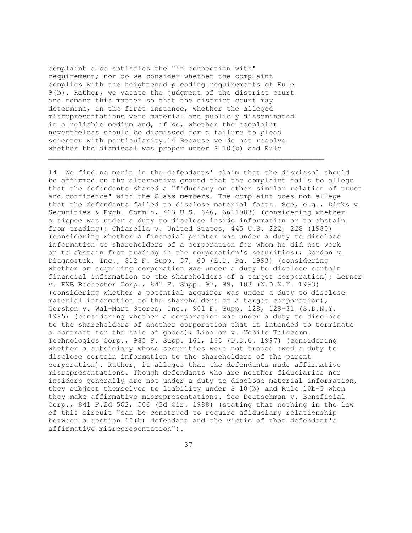complaint also satisfies the "in connection with" requirement; nor do we consider whether the complaint complies with the heightened pleading requirements of Rule 9(b). Rather, we vacate the judgment of the district court and remand this matter so that the district court may determine, in the first instance, whether the alleged misrepresentations were material and publicly disseminated in a reliable medium and, if so, whether the complaint nevertheless should be dismissed for a failure to plead scienter with particularity.14 Because we do not resolve whether the dismissal was proper under S 10(b) and Rule

 $\mathcal{L}_\mathcal{L} = \{ \mathcal{L}_\mathcal{L} = \{ \mathcal{L}_\mathcal{L} = \{ \mathcal{L}_\mathcal{L} = \{ \mathcal{L}_\mathcal{L} = \{ \mathcal{L}_\mathcal{L} = \{ \mathcal{L}_\mathcal{L} = \{ \mathcal{L}_\mathcal{L} = \{ \mathcal{L}_\mathcal{L} = \{ \mathcal{L}_\mathcal{L} = \{ \mathcal{L}_\mathcal{L} = \{ \mathcal{L}_\mathcal{L} = \{ \mathcal{L}_\mathcal{L} = \{ \mathcal{L}_\mathcal{L} = \{ \mathcal{L}_\mathcal{$ 

14. We find no merit in the defendants' claim that the dismissal should be affirmed on the alternative ground that the complaint fails to allege that the defendants shared a "fiduciary or other similar relation of trust and confidence" with the Class members. The complaint does not allege that the defendants failed to disclose material facts. See, e.g., Dirks v. Securities & Exch. Comm'n, 463 U.S. 646, 6611983) (considering whether a tippee was under a duty to disclose inside information or to abstain from trading); Chiarella v. United States, 445 U.S. 222, 228 (1980) (considering whether a financial printer was under a duty to disclose information to shareholders of a corporation for whom he did not work or to abstain from trading in the corporation's securities); Gordon v. Diagnostek, Inc., 812 F. Supp. 57, 60 (E.D. Pa. 1993) (considering whether an acquiring corporation was under a duty to disclose certain financial information to the shareholders of a target corporation); Lerner v. FNB Rochester Corp., 841 F. Supp. 97, 99, 103 (W.D.N.Y. 1993) (considering whether a potential acquirer was under a duty to disclose material information to the shareholders of a target corporation); Gershon v. Wal-Mart Stores, Inc., 901 F. Supp. 128, 129-31 (S.D.N.Y. 1995) (considering whether a corporation was under a duty to disclose to the shareholders of another corporation that it intended to terminate a contract for the sale of goods); Lindlom v. Mobile Telecomm. Technologies Corp., 985 F. Supp. 161, 163 (D.D.C. 1997) (considering whether a subsidiary whose securities were not traded owed a duty to disclose certain information to the shareholders of the parent corporation). Rather, it alleges that the defendants made affirmative misrepresentations. Though defendants who are neither fiduciaries nor insiders generally are not under a duty to disclose material information, they subject themselves to liability under S 10(b) and Rule 10b-5 when they make affirmative misrepresentations. See Deutschman v. Beneficial Corp., 841 F.2d 502, 506 (3d Cir. 1988) (stating that nothing in the law of this circuit "can be construed to require afiduciary relationship between a section 10(b) defendant and the victim of that defendant's affirmative misrepresentation").